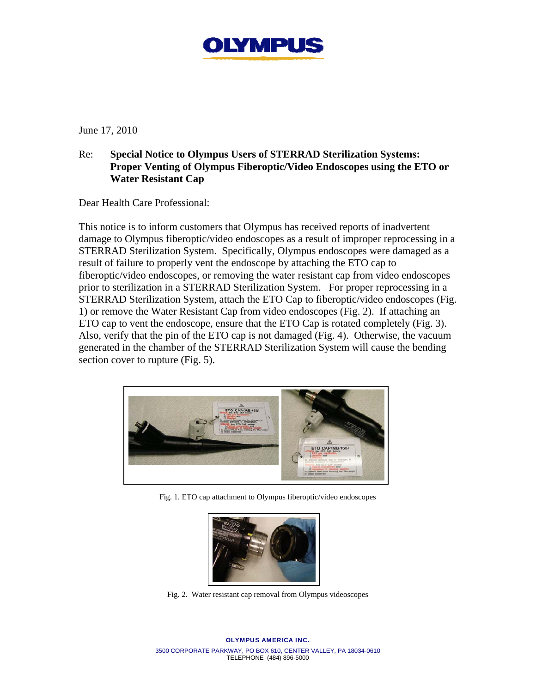

June 17, 2010

## Re: **Special Notice to Olympus Users of STERRAD Sterilization Systems: Proper Venting of Olympus Fiberoptic/Video Endoscopes using the ETO or Water Resistant Cap**

Dear Health Care Professional:

This notice is to inform customers that Olympus has received reports of inadvertent damage to Olympus fiberoptic/video endoscopes as a result of improper reprocessing in a STERRAD Sterilization System. Specifically, Olympus endoscopes were damaged as a result of failure to properly vent the endoscope by attaching the ETO cap to fiberoptic/video endoscopes, or removing the water resistant cap from video endoscopes prior to sterilization in a STERRAD Sterilization System. For proper reprocessing in a STERRAD Sterilization System, attach the ETO Cap to fiberoptic/video endoscopes (Fig. 1) or remove the Water Resistant Cap from video endoscopes (Fig. 2). If attaching an ETO cap to vent the endoscope, ensure that the ETO Cap is rotated completely (Fig. 3). Also, verify that the pin of the ETO cap is not damaged (Fig. 4). Otherwise, the vacuum generated in the chamber of the STERRAD Sterilization System will cause the bending section cover to rupture (Fig. 5).



Fig. 1. ETO cap attachment to Olympus fiberoptic/video endoscopes



Fig. 2. Water resistant cap removal from Olympus videoscopes